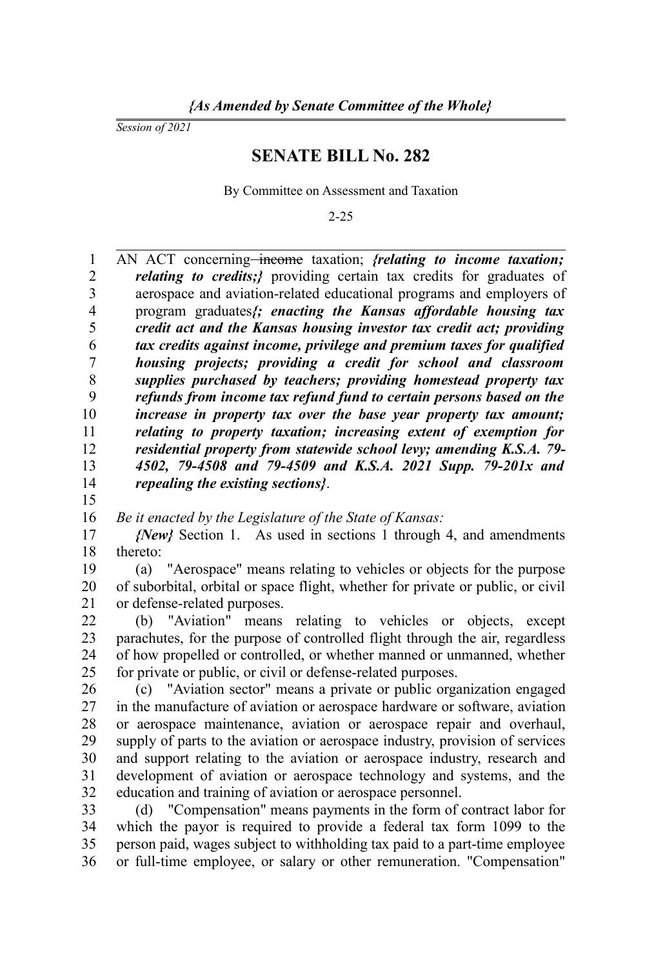*Session of 2021*

15

## **SENATE BILL No. 282**

By Committee on Assessment and Taxation

2-25

AN ACT concerning<del>-income</del> taxation; *{relating to income taxation; relating to credits;}* providing certain tax credits for graduates of aerospace and aviation-related educational programs and employers of program graduates*{; enacting the Kansas affordable housing tax credit act and the Kansas housing investor tax credit act; providing tax credits against income, privilege and premium taxes for qualified housing projects; providing a credit for school and classroom supplies purchased by teachers; providing homestead property tax refunds from income tax refund fund to certain persons based on the increase in property tax over the base year property tax amount; relating to property taxation; increasing extent of exemption for residential property from statewide school levy; amending K.S.A. 79- 4502, 79-4508 and 79-4509 and K.S.A. 2021 Supp. 79-201x and repealing the existing sections}*. 1 2 3 4 5 6 7 8 9 10 11 12 13 14

*Be it enacted by the Legislature of the State of Kansas:* 16

*{New}* Section 1. As used in sections 1 through 4, and amendments thereto: 17 18

(a) "Aerospace" means relating to vehicles or objects for the purpose of suborbital, orbital or space flight, whether for private or public, or civil or defense-related purposes. 19 20 21

(b) "Aviation" means relating to vehicles or objects, except parachutes, for the purpose of controlled flight through the air, regardless of how propelled or controlled, or whether manned or unmanned, whether for private or public, or civil or defense-related purposes. 22 23 24 25

(c) "Aviation sector" means a private or public organization engaged in the manufacture of aviation or aerospace hardware or software, aviation or aerospace maintenance, aviation or aerospace repair and overhaul, supply of parts to the aviation or aerospace industry, provision of services and support relating to the aviation or aerospace industry, research and development of aviation or aerospace technology and systems, and the education and training of aviation or aerospace personnel. 26 27 28 29 30 31 32

(d) "Compensation" means payments in the form of contract labor for which the payor is required to provide a federal tax form 1099 to the person paid, wages subject to withholding tax paid to a part-time employee or full-time employee, or salary or other remuneration. "Compensation" 33 34 35 36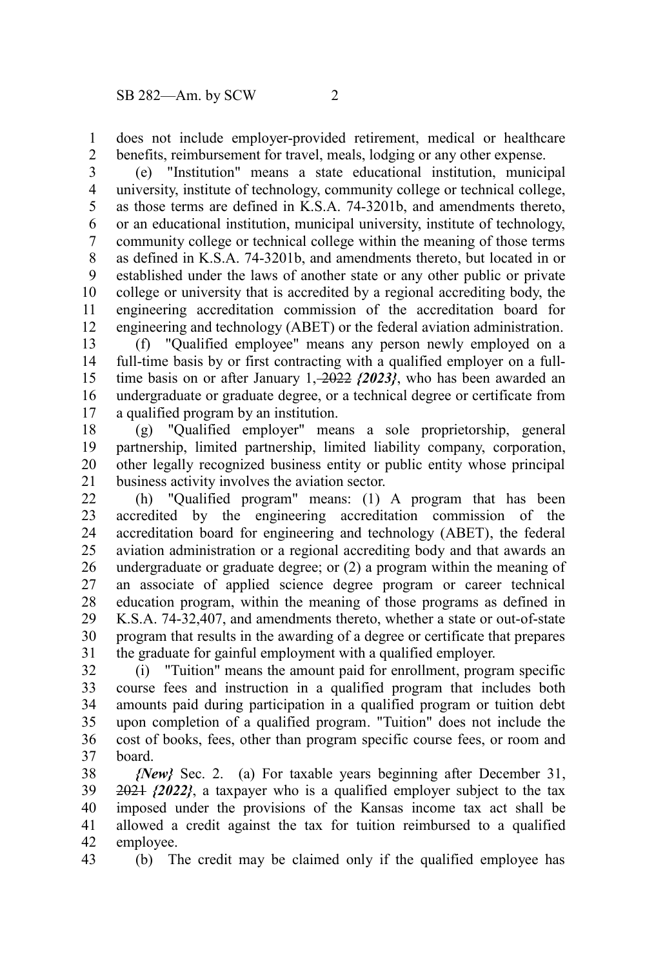does not include employer-provided retirement, medical or healthcare benefits, reimbursement for travel, meals, lodging or any other expense. 1 2

(e) "Institution" means a state educational institution, municipal university, institute of technology, community college or technical college, as those terms are defined in K.S.A. 74-3201b, and amendments thereto, or an educational institution, municipal university, institute of technology, community college or technical college within the meaning of those terms as defined in K.S.A. 74-3201b, and amendments thereto, but located in or established under the laws of another state or any other public or private college or university that is accredited by a regional accrediting body, the engineering accreditation commission of the accreditation board for engineering and technology (ABET) or the federal aviation administration. 3 4 5 6 7 8 9 10 11 12

(f) "Qualified employee" means any person newly employed on a full-time basis by or first contracting with a qualified employer on a fulltime basis on or after January 1, 2022  $\{2023\}$ , who has been awarded an undergraduate or graduate degree, or a technical degree or certificate from a qualified program by an institution. 13 14 15 16 17

(g) "Qualified employer" means a sole proprietorship, general partnership, limited partnership, limited liability company, corporation, other legally recognized business entity or public entity whose principal business activity involves the aviation sector. 18 19 20 21

(h) "Qualified program" means: (1) A program that has been accredited by the engineering accreditation commission of the accreditation board for engineering and technology (ABET), the federal aviation administration or a regional accrediting body and that awards an undergraduate or graduate degree; or (2) a program within the meaning of an associate of applied science degree program or career technical education program, within the meaning of those programs as defined in K.S.A. 74-32,407, and amendments thereto, whether a state or out-of-state program that results in the awarding of a degree or certificate that prepares the graduate for gainful employment with a qualified employer. 22 23 24 25 26 27 28 29 30 31

(i) "Tuition" means the amount paid for enrollment, program specific course fees and instruction in a qualified program that includes both amounts paid during participation in a qualified program or tuition debt upon completion of a qualified program. "Tuition" does not include the cost of books, fees, other than program specific course fees, or room and board. 32 33 34 35 36 37

*{New}* Sec. 2. (a) For taxable years beginning after December 31, 2021 *{2022}*, a taxpayer who is a qualified employer subject to the tax imposed under the provisions of the Kansas income tax act shall be allowed a credit against the tax for tuition reimbursed to a qualified employee. 38 39 40 41 42

(b) The credit may be claimed only if the qualified employee has 43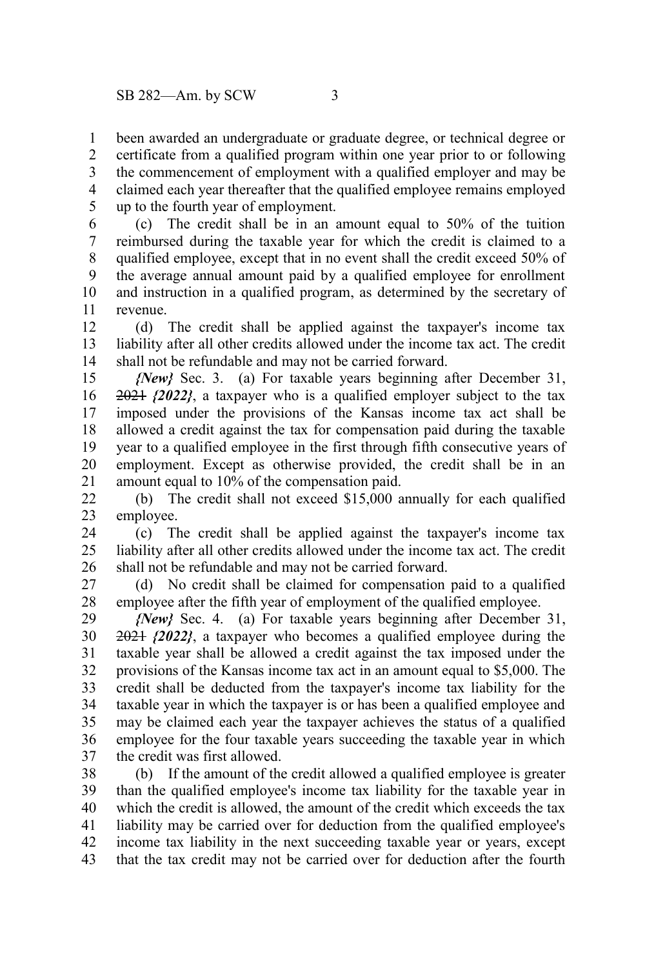been awarded an undergraduate or graduate degree, or technical degree or certificate from a qualified program within one year prior to or following the commencement of employment with a qualified employer and may be claimed each year thereafter that the qualified employee remains employed up to the fourth year of employment. 1 2 3 4 5

(c) The credit shall be in an amount equal to 50% of the tuition reimbursed during the taxable year for which the credit is claimed to a qualified employee, except that in no event shall the credit exceed 50% of the average annual amount paid by a qualified employee for enrollment and instruction in a qualified program, as determined by the secretary of revenue. 6 7 8 9 10 11

(d) The credit shall be applied against the taxpayer's income tax liability after all other credits allowed under the income tax act. The credit shall not be refundable and may not be carried forward. 12 13 14

*{New}* Sec. 3. (a) For taxable years beginning after December 31, 2021 *{2022}*, a taxpayer who is a qualified employer subject to the tax imposed under the provisions of the Kansas income tax act shall be allowed a credit against the tax for compensation paid during the taxable year to a qualified employee in the first through fifth consecutive years of employment. Except as otherwise provided, the credit shall be in an amount equal to 10% of the compensation paid. 15 16 17 18 19 20 21

(b) The credit shall not exceed \$15,000 annually for each qualified employee. 22 23

(c) The credit shall be applied against the taxpayer's income tax liability after all other credits allowed under the income tax act. The credit shall not be refundable and may not be carried forward. 24 25 26

(d) No credit shall be claimed for compensation paid to a qualified employee after the fifth year of employment of the qualified employee. 27 28

*{New}* Sec. 4. (a) For taxable years beginning after December 31, 2021 *{2022}*, a taxpayer who becomes a qualified employee during the taxable year shall be allowed a credit against the tax imposed under the provisions of the Kansas income tax act in an amount equal to \$5,000. The credit shall be deducted from the taxpayer's income tax liability for the taxable year in which the taxpayer is or has been a qualified employee and may be claimed each year the taxpayer achieves the status of a qualified employee for the four taxable years succeeding the taxable year in which the credit was first allowed. 29 30 31 32 33 34 35 36 37

(b) If the amount of the credit allowed a qualified employee is greater than the qualified employee's income tax liability for the taxable year in which the credit is allowed, the amount of the credit which exceeds the tax liability may be carried over for deduction from the qualified employee's income tax liability in the next succeeding taxable year or years, except that the tax credit may not be carried over for deduction after the fourth 38 39 40 41 42 43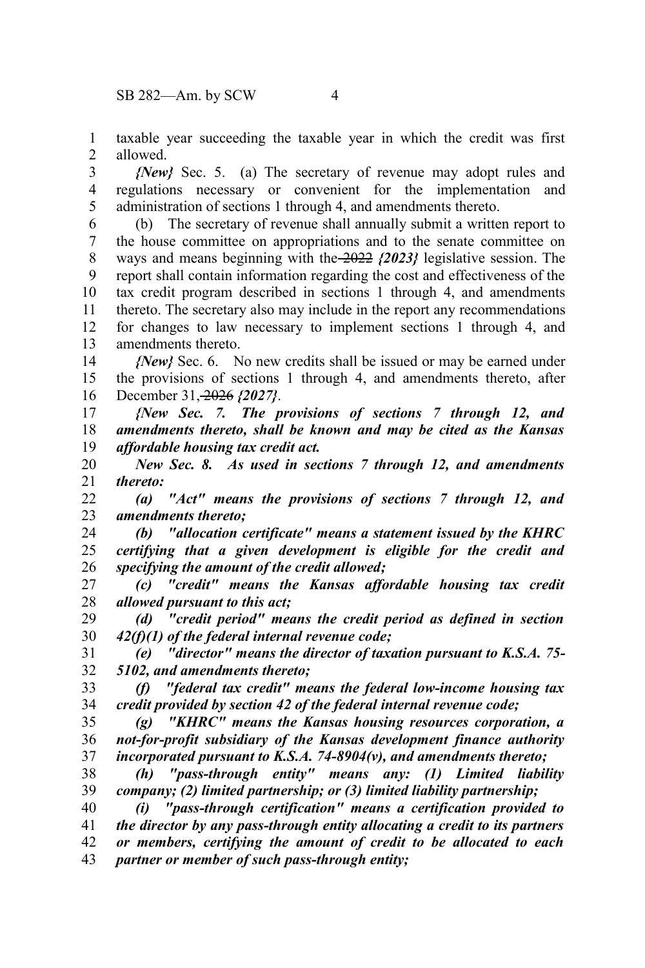taxable year succeeding the taxable year in which the credit was first allowed. 1 2

*{New}* Sec. 5. (a) The secretary of revenue may adopt rules and regulations necessary or convenient for the implementation and administration of sections 1 through 4, and amendments thereto. 3 4 5

(b) The secretary of revenue shall annually submit a written report to the house committee on appropriations and to the senate committee on ways and means beginning with the 2022 *{2023}* legislative session. The report shall contain information regarding the cost and effectiveness of the tax credit program described in sections 1 through 4, and amendments thereto. The secretary also may include in the report any recommendations for changes to law necessary to implement sections 1 through 4, and amendments thereto. 6 7 8 9 10 11 12 13

*{New}* Sec. 6. No new credits shall be issued or may be earned under the provisions of sections 1 through 4, and amendments thereto, after December 31, 2026 *{2027}*. 14 15 16

*{New Sec. 7. The provisions of sections 7 through 12, and amendments thereto, shall be known and may be cited as the Kansas affordable housing tax credit act.* 17 18 19

*New Sec. 8. As used in sections 7 through 12, and amendments thereto:* 20 21

*(a) "Act" means the provisions of sections 7 through 12, and amendments thereto;* 22 23

*(b) "allocation certificate" means a statement issued by the KHRC certifying that a given development is eligible for the credit and specifying the amount of the credit allowed;* 24 25 26

*(c) "credit" means the Kansas affordable housing tax credit allowed pursuant to this act;* 27 28

*(d) "credit period" means the credit period as defined in section 42(f)(1) of the federal internal revenue code;* 29 30

*(e) "director" means the director of taxation pursuant to K.S.A. 75- 5102, and amendments thereto;* 31 32

*(f) "federal tax credit" means the federal low-income housing tax credit provided by section 42 of the federal internal revenue code;* 33 34

*(g) "KHRC" means the Kansas housing resources corporation, a not-for-profit subsidiary of the Kansas development finance authority incorporated pursuant to K.S.A. 74-8904(v), and amendments thereto;* 35 36 37

*(h) "pass-through entity" means any: (1) Limited liability company; (2) limited partnership; or (3) limited liability partnership;* 38 39

*(i) "pass-through certification" means a certification provided to the director by any pass-through entity allocating a credit to its partners or members, certifying the amount of credit to be allocated to each partner or member of such pass-through entity;* 40 41 42 43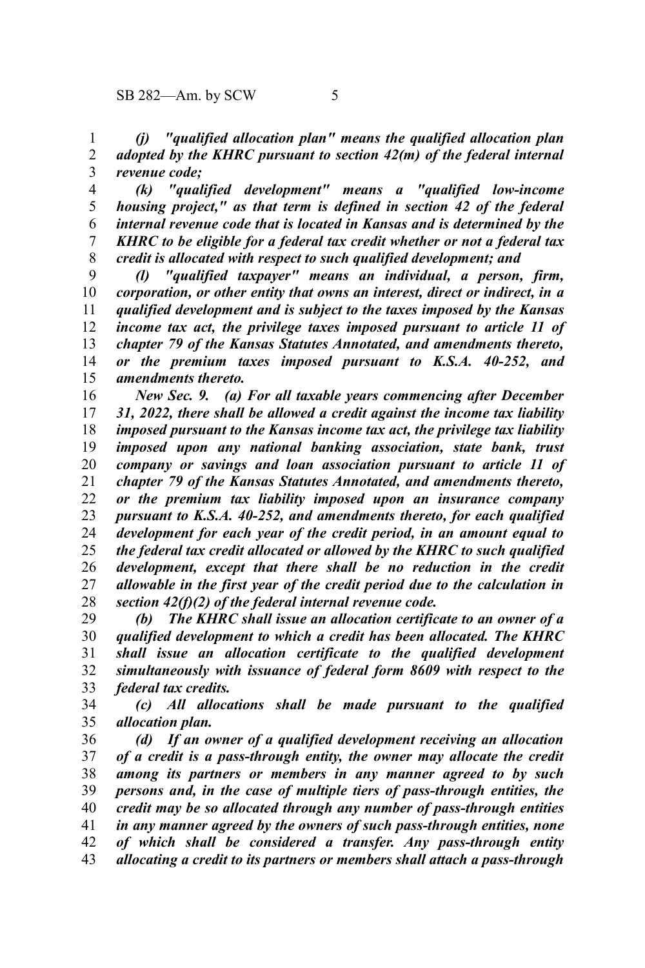*(j) "qualified allocation plan" means the qualified allocation plan adopted by the KHRC pursuant to section 42(m) of the federal internal revenue code;* 1 2 3

*(k) "qualified development" means a "qualified low-income housing project," as that term is defined in section 42 of the federal internal revenue code that is located in Kansas and is determined by the KHRC to be eligible for a federal tax credit whether or not a federal tax credit is allocated with respect to such qualified development; and* 4 5 6 7 8

*(l) "qualified taxpayer" means an individual, a person, firm, corporation, or other entity that owns an interest, direct or indirect, in a qualified development and is subject to the taxes imposed by the Kansas income tax act, the privilege taxes imposed pursuant to article 11 of chapter 79 of the Kansas Statutes Annotated, and amendments thereto, or the premium taxes imposed pursuant to K.S.A. 40-252, and amendments thereto.* 9 10 11 12 13 14 15

*New Sec. 9. (a) For all taxable years commencing after December 31, 2022, there shall be allowed a credit against the income tax liability imposed pursuant to the Kansas income tax act, the privilege tax liability imposed upon any national banking association, state bank, trust company or savings and loan association pursuant to article 11 of chapter 79 of the Kansas Statutes Annotated, and amendments thereto, or the premium tax liability imposed upon an insurance company pursuant to K.S.A. 40-252, and amendments thereto, for each qualified development for each year of the credit period, in an amount equal to the federal tax credit allocated or allowed by the KHRC to such qualified development, except that there shall be no reduction in the credit allowable in the first year of the credit period due to the calculation in section 42(f)(2) of the federal internal revenue code.* 16 17 18 19 20 21 22 23 24 25 26 27 28

*(b) The KHRC shall issue an allocation certificate to an owner of a qualified development to which a credit has been allocated. The KHRC shall issue an allocation certificate to the qualified development simultaneously with issuance of federal form 8609 with respect to the federal tax credits.* 29 30 31 32 33

*(c) All allocations shall be made pursuant to the qualified allocation plan.* 34 35

*(d) If an owner of a qualified development receiving an allocation of a credit is a pass-through entity, the owner may allocate the credit among its partners or members in any manner agreed to by such persons and, in the case of multiple tiers of pass-through entities, the credit may be so allocated through any number of pass-through entities in any manner agreed by the owners of such pass-through entities, none of which shall be considered a transfer. Any pass-through entity allocating a credit to its partners or members shall attach a pass-through* 36 37 38 39 40 41 42 43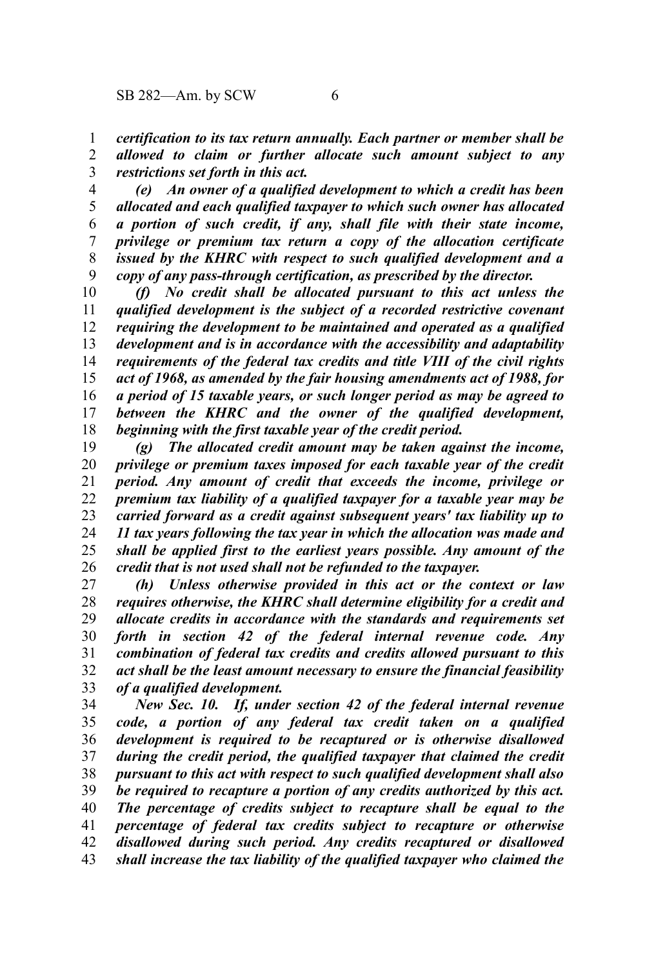*certification to its tax return annually. Each partner or member shall be allowed to claim or further allocate such amount subject to any restrictions set forth in this act.* 1 2 3

*(e) An owner of a qualified development to which a credit has been allocated and each qualified taxpayer to which such owner has allocated a portion of such credit, if any, shall file with their state income, privilege or premium tax return a copy of the allocation certificate issued by the KHRC with respect to such qualified development and a copy of any pass-through certification, as prescribed by the director.* 4 5 6 7 8 9

*(f) No credit shall be allocated pursuant to this act unless the qualified development is the subject of a recorded restrictive covenant requiring the development to be maintained and operated as a qualified development and is in accordance with the accessibility and adaptability requirements of the federal tax credits and title VIII of the civil rights act of 1968, as amended by the fair housing amendments act of 1988, for a period of 15 taxable years, or such longer period as may be agreed to between the KHRC and the owner of the qualified development, beginning with the first taxable year of the credit period.* 10 11 12 13 14 15 16 17 18

*(g) The allocated credit amount may be taken against the income, privilege or premium taxes imposed for each taxable year of the credit period. Any amount of credit that exceeds the income, privilege or premium tax liability of a qualified taxpayer for a taxable year may be carried forward as a credit against subsequent years' tax liability up to 11 tax years following the tax year in which the allocation was made and shall be applied first to the earliest years possible. Any amount of the credit that is not used shall not be refunded to the taxpayer.* 19 20 21 22 23 24 25 26

*(h) Unless otherwise provided in this act or the context or law requires otherwise, the KHRC shall determine eligibility for a credit and allocate credits in accordance with the standards and requirements set forth in section 42 of the federal internal revenue code. Any combination of federal tax credits and credits allowed pursuant to this act shall be the least amount necessary to ensure the financial feasibility of a qualified development.* 27 28 29 30 31 32 33

*New Sec. 10. If, under section 42 of the federal internal revenue code, a portion of any federal tax credit taken on a qualified development is required to be recaptured or is otherwise disallowed during the credit period, the qualified taxpayer that claimed the credit pursuant to this act with respect to such qualified development shall also be required to recapture a portion of any credits authorized by this act. The percentage of credits subject to recapture shall be equal to the percentage of federal tax credits subject to recapture or otherwise disallowed during such period. Any credits recaptured or disallowed shall increase the tax liability of the qualified taxpayer who claimed the* 34 35 36 37 38 39 40 41 42 43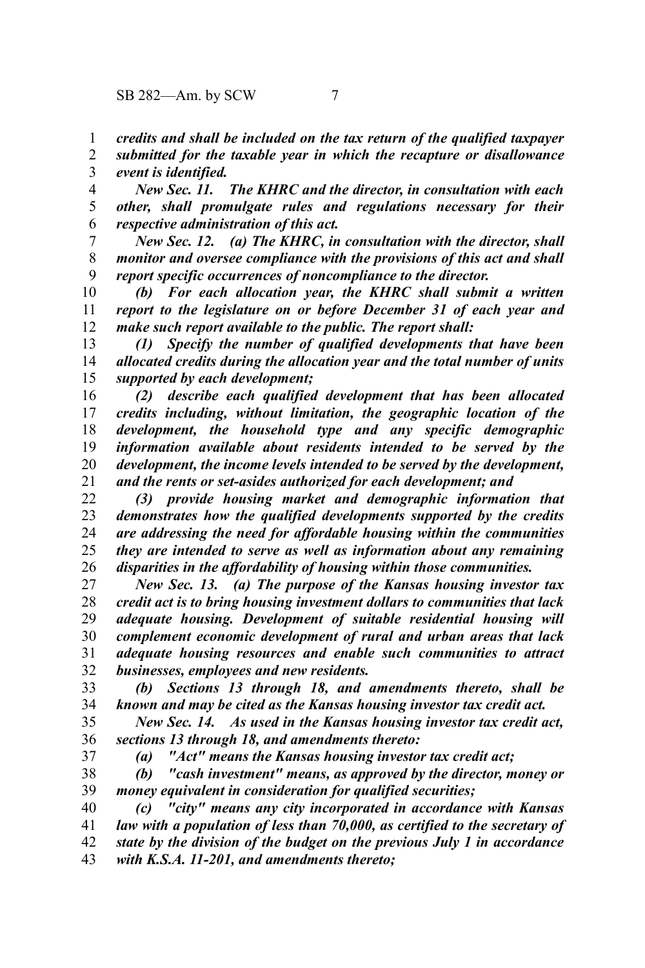*credits and shall be included on the tax return of the qualified taxpayer* 1

*submitted for the taxable year in which the recapture or disallowance event is identified.* 2 3

*New Sec. 11. The KHRC and the director, in consultation with each other, shall promulgate rules and regulations necessary for their respective administration of this act.* 4 5 6

*New Sec. 12. (a) The KHRC, in consultation with the director, shall monitor and oversee compliance with the provisions of this act and shall report specific occurrences of noncompliance to the director.* 7 8 9

*(b) For each allocation year, the KHRC shall submit a written report to the legislature on or before December 31 of each year and make such report available to the public. The report shall:* 10 11 12

*(1) Specify the number of qualified developments that have been allocated credits during the allocation year and the total number of units supported by each development;* 13 14 15

*(2) describe each qualified development that has been allocated credits including, without limitation, the geographic location of the development, the household type and any specific demographic information available about residents intended to be served by the development, the income levels intended to be served by the development, and the rents or set-asides authorized for each development; and* 16 17 18 19 20 21

*(3) provide housing market and demographic information that demonstrates how the qualified developments supported by the credits are addressing the need for affordable housing within the communities they are intended to serve as well as information about any remaining disparities in the affordability of housing within those communities.* 22 23 24 25 26

*New Sec. 13. (a) The purpose of the Kansas housing investor tax credit act is to bring housing investment dollars to communities that lack adequate housing. Development of suitable residential housing will complement economic development of rural and urban areas that lack adequate housing resources and enable such communities to attract businesses, employees and new residents.* 27 28 29 30 31 32

*(b) Sections 13 through 18, and amendments thereto, shall be known and may be cited as the Kansas housing investor tax credit act.* 33 34

*New Sec. 14. As used in the Kansas housing investor tax credit act, sections 13 through 18, and amendments thereto:* 35 36

37

*(a) "Act" means the Kansas housing investor tax credit act;*

*(b) "cash investment" means, as approved by the director, money or money equivalent in consideration for qualified securities;* 38 39

*(c) "city" means any city incorporated in accordance with Kansas law with a population of less than 70,000, as certified to the secretary of state by the division of the budget on the previous July 1 in accordance with K.S.A. 11-201, and amendments thereto;* 40 41 42 43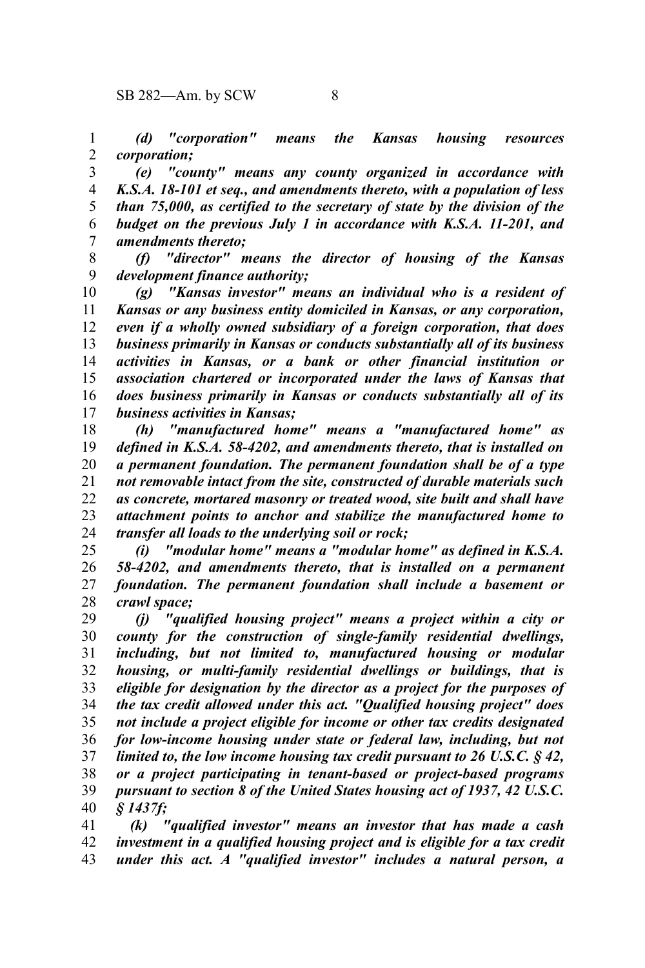*(d) "corporation" means the Kansas housing resources corporation;* 1 2

*(e) "county" means any county organized in accordance with K.S.A. 18-101 et seq., and amendments thereto, with a population of less than 75,000, as certified to the secretary of state by the division of the budget on the previous July 1 in accordance with K.S.A. 11-201, and amendments thereto;* 3 4 5 6 7

*(f) "director" means the director of housing of the Kansas development finance authority;* 8 9

*(g) "Kansas investor" means an individual who is a resident of Kansas or any business entity domiciled in Kansas, or any corporation, even if a wholly owned subsidiary of a foreign corporation, that does business primarily in Kansas or conducts substantially all of its business activities in Kansas, or a bank or other financial institution or association chartered or incorporated under the laws of Kansas that does business primarily in Kansas or conducts substantially all of its business activities in Kansas;* 10 11 12 13 14 15 16 17

*(h) "manufactured home" means a "manufactured home" as defined in K.S.A. 58-4202, and amendments thereto, that is installed on a permanent foundation. The permanent foundation shall be of a type not removable intact from the site, constructed of durable materials such as concrete, mortared masonry or treated wood, site built and shall have attachment points to anchor and stabilize the manufactured home to transfer all loads to the underlying soil or rock;* 18 19 20 21 22 23 24

*(i) "modular home" means a "modular home" as defined in K.S.A. 58-4202, and amendments thereto, that is installed on a permanent foundation. The permanent foundation shall include a basement or crawl space;* 25 26 27 28

*(j) "qualified housing project" means a project within a city or county for the construction of single-family residential dwellings, including, but not limited to, manufactured housing or modular housing, or multi-family residential dwellings or buildings, that is eligible for designation by the director as a project for the purposes of the tax credit allowed under this act. "Qualified housing project" does not include a project eligible for income or other tax credits designated for low-income housing under state or federal law, including, but not limited to, the low income housing tax credit pursuant to 26 U.S.C. § 42, or a project participating in tenant-based or project-based programs pursuant to section 8 of the United States housing act of 1937, 42 U.S.C. § 1437f;* 29 30 31 32 33 34 35 36 37 38 39 40

 *(k) "qualified investor" means an investor that has made a cash investment in a qualified housing project and is eligible for a tax credit under this act. A "qualified investor" includes a natural person, a* 41 42 43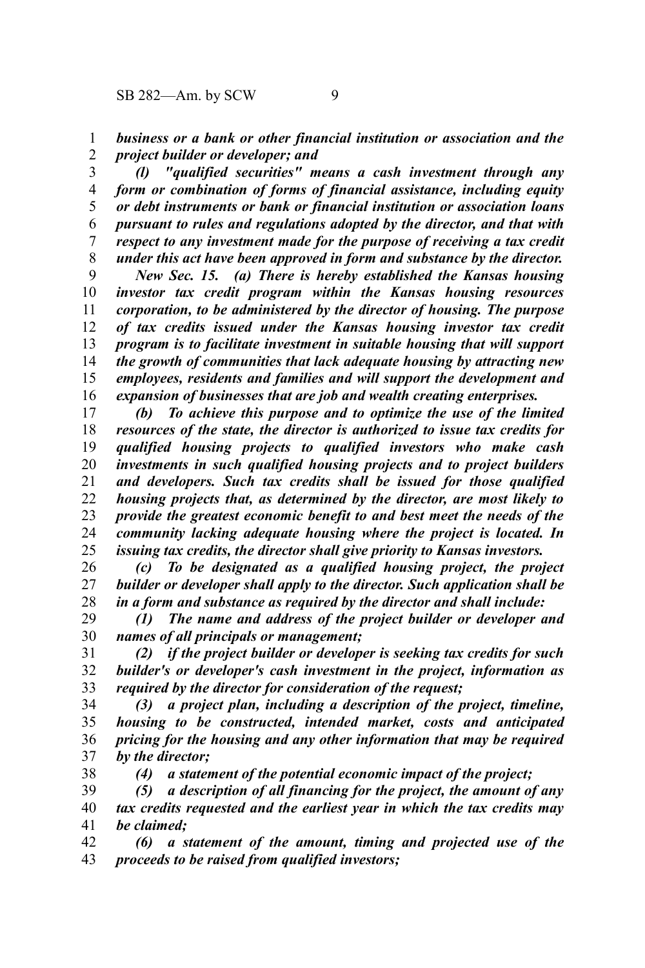38

*business or a bank or other financial institution or association and the project builder or developer; and* 1 2

*(l) "qualified securities" means a cash investment through any form or combination of forms of financial assistance, including equity or debt instruments or bank or financial institution or association loans pursuant to rules and regulations adopted by the director, and that with respect to any investment made for the purpose of receiving a tax credit under this act have been approved in form and substance by the director.* 3 4 5 6 7 8

*New Sec. 15. (a) There is hereby established the Kansas housing investor tax credit program within the Kansas housing resources corporation, to be administered by the director of housing. The purpose of tax credits issued under the Kansas housing investor tax credit program is to facilitate investment in suitable housing that will support the growth of communities that lack adequate housing by attracting new employees, residents and families and will support the development and expansion of businesses that are job and wealth creating enterprises.* 9 10 11 12 13 14 15 16

*(b) To achieve this purpose and to optimize the use of the limited resources of the state, the director is authorized to issue tax credits for qualified housing projects to qualified investors who make cash investments in such qualified housing projects and to project builders and developers. Such tax credits shall be issued for those qualified housing projects that, as determined by the director, are most likely to provide the greatest economic benefit to and best meet the needs of the community lacking adequate housing where the project is located. In issuing tax credits, the director shall give priority to Kansas investors.* 17 18 19 20 21 22 23 24 25

*(c) To be designated as a qualified housing project, the project builder or developer shall apply to the director. Such application shall be in a form and substance as required by the director and shall include:* 26 27 28

*(1) The name and address of the project builder or developer and names of all principals or management;* 29 30

*(2) if the project builder or developer is seeking tax credits for such builder's or developer's cash investment in the project, information as required by the director for consideration of the request;* 31 32 33

*(3) a project plan, including a description of the project, timeline, housing to be constructed, intended market, costs and anticipated pricing for the housing and any other information that may be required by the director;* 34 35 36 37

*(4) a statement of the potential economic impact of the project;*

*(5) a description of all financing for the project, the amount of any tax credits requested and the earliest year in which the tax credits may be claimed;* 39 40 41

*(6) a statement of the amount, timing and projected use of the proceeds to be raised from qualified investors;* 42 43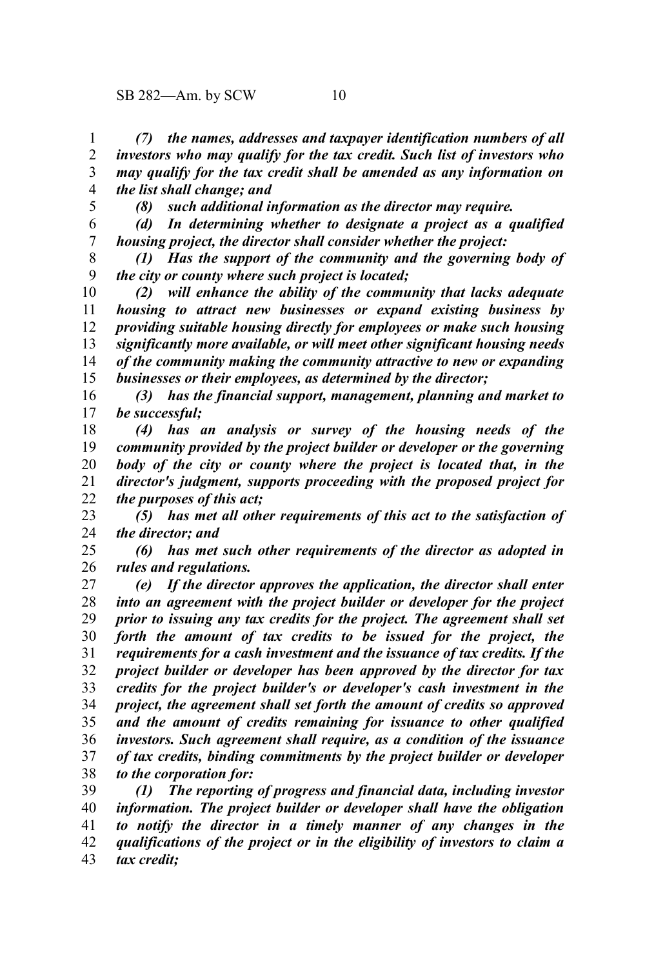*(7) the names, addresses and taxpayer identification numbers of all investors who may qualify for the tax credit. Such list of investors who may qualify for the tax credit shall be amended as any information on the list shall change; and* 1 2 3 4

5

*(8) such additional information as the director may require.*

*(d) In determining whether to designate a project as a qualified housing project, the director shall consider whether the project:* 6 7

*(1) Has the support of the community and the governing body of the city or county where such project is located;* 8 9

*(2) will enhance the ability of the community that lacks adequate housing to attract new businesses or expand existing business by providing suitable housing directly for employees or make such housing significantly more available, or will meet other significant housing needs of the community making the community attractive to new or expanding businesses or their employees, as determined by the director;* 10 11 12 13 14 15

*(3) has the financial support, management, planning and market to be successful;* 16 17

*(4) has an analysis or survey of the housing needs of the community provided by the project builder or developer or the governing body of the city or county where the project is located that, in the director's judgment, supports proceeding with the proposed project for the purposes of this act;* 18 19 20 21 22

*(5) has met all other requirements of this act to the satisfaction of the director; and* 23 24

*(6) has met such other requirements of the director as adopted in rules and regulations.* 25 26

*(e) If the director approves the application, the director shall enter into an agreement with the project builder or developer for the project prior to issuing any tax credits for the project. The agreement shall set forth the amount of tax credits to be issued for the project, the requirements for a cash investment and the issuance of tax credits. If the project builder or developer has been approved by the director for tax credits for the project builder's or developer's cash investment in the project, the agreement shall set forth the amount of credits so approved and the amount of credits remaining for issuance to other qualified investors. Such agreement shall require, as a condition of the issuance of tax credits, binding commitments by the project builder or developer to the corporation for:* 27 28 29 30 31 32 33 34 35 36 37 38

*(1) The reporting of progress and financial data, including investor information. The project builder or developer shall have the obligation to notify the director in a timely manner of any changes in the qualifications of the project or in the eligibility of investors to claim a tax credit;* 39 40 41 42 43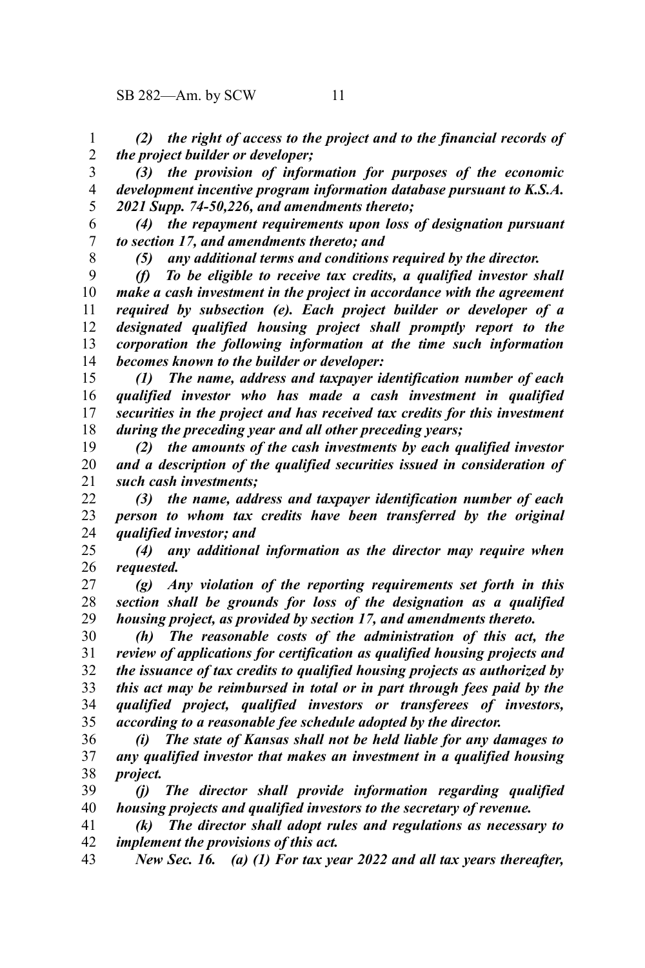*(2) the right of access to the project and to the financial records of the project builder or developer;* 1 2

*(3) the provision of information for purposes of the economic development incentive program information database pursuant to K.S.A. 2021 Supp. 74-50,226, and amendments thereto;* 3 4 5

*(4) the repayment requirements upon loss of designation pursuant to section 17, and amendments thereto; and* 6 7

8

*(5) any additional terms and conditions required by the director.*

*(f) To be eligible to receive tax credits, a qualified investor shall make a cash investment in the project in accordance with the agreement required by subsection (e). Each project builder or developer of a designated qualified housing project shall promptly report to the corporation the following information at the time such information becomes known to the builder or developer:* 9 10 11 12 13 14

*(1) The name, address and taxpayer identification number of each qualified investor who has made a cash investment in qualified securities in the project and has received tax credits for this investment during the preceding year and all other preceding years;* 15 16 17 18

*(2) the amounts of the cash investments by each qualified investor and a description of the qualified securities issued in consideration of such cash investments;* 19 20 21

*(3) the name, address and taxpayer identification number of each person to whom tax credits have been transferred by the original qualified investor; and* 22 23 24

*(4) any additional information as the director may require when requested.* 25 26

*(g) Any violation of the reporting requirements set forth in this section shall be grounds for loss of the designation as a qualified housing project, as provided by section 17, and amendments thereto.* 27 28 29

*(h) The reasonable costs of the administration of this act, the review of applications for certification as qualified housing projects and the issuance of tax credits to qualified housing projects as authorized by this act may be reimbursed in total or in part through fees paid by the qualified project, qualified investors or transferees of investors, according to a reasonable fee schedule adopted by the director.* 30 31 32 33 34 35

*(i) The state of Kansas shall not be held liable for any damages to any qualified investor that makes an investment in a qualified housing project.* 36 37 38

*(j) The director shall provide information regarding qualified housing projects and qualified investors to the secretary of revenue.* 39 40

*(k) The director shall adopt rules and regulations as necessary to implement the provisions of this act.* 41 42

*New Sec. 16. (a) (1) For tax year 2022 and all tax years thereafter,* 43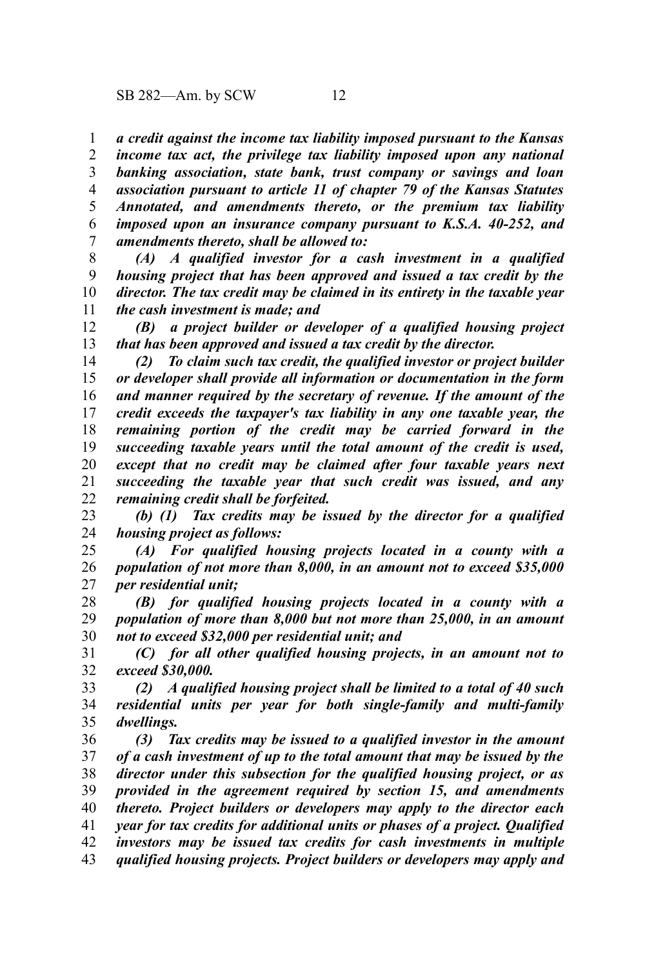*a credit against the income tax liability imposed pursuant to the Kansas* 1

*income tax act, the privilege tax liability imposed upon any national banking association, state bank, trust company or savings and loan association pursuant to article 11 of chapter 79 of the Kansas Statutes Annotated, and amendments thereto, or the premium tax liability imposed upon an insurance company pursuant to K.S.A. 40-252, and amendments thereto, shall be allowed to:* 2 3 4 5 6 7

*(A) A qualified investor for a cash investment in a qualified housing project that has been approved and issued a tax credit by the director. The tax credit may be claimed in its entirety in the taxable year the cash investment is made; and* 8 9 10 11

*(B) a project builder or developer of a qualified housing project that has been approved and issued a tax credit by the director.* 12 13

*(2) To claim such tax credit, the qualified investor or project builder or developer shall provide all information or documentation in the form and manner required by the secretary of revenue. If the amount of the credit exceeds the taxpayer's tax liability in any one taxable year, the remaining portion of the credit may be carried forward in the succeeding taxable years until the total amount of the credit is used, except that no credit may be claimed after four taxable years next succeeding the taxable year that such credit was issued, and any remaining credit shall be forfeited.* 14 15 16 17 18 19 20 21 22

*(b) (1) Tax credits may be issued by the director for a qualified housing project as follows:* 23 24

*(A) For qualified housing projects located in a county with a population of not more than 8,000, in an amount not to exceed \$35,000 per residential unit;* 25 26 27

*(B) for qualified housing projects located in a county with a population of more than 8,000 but not more than 25,000, in an amount not to exceed \$32,000 per residential unit; and* 28 29 30

*(C) for all other qualified housing projects, in an amount not to exceed \$30,000.* 31 32

*(2) A qualified housing project shall be limited to a total of 40 such residential units per year for both single-family and multi-family dwellings.* 33 34 35

*(3) Tax credits may be issued to a qualified investor in the amount of a cash investment of up to the total amount that may be issued by the director under this subsection for the qualified housing project, or as provided in the agreement required by section 15, and amendments thereto. Project builders or developers may apply to the director each year for tax credits for additional units or phases of a project. Qualified investors may be issued tax credits for cash investments in multiple qualified housing projects. Project builders or developers may apply and* 36 37 38 39 40 41 42 43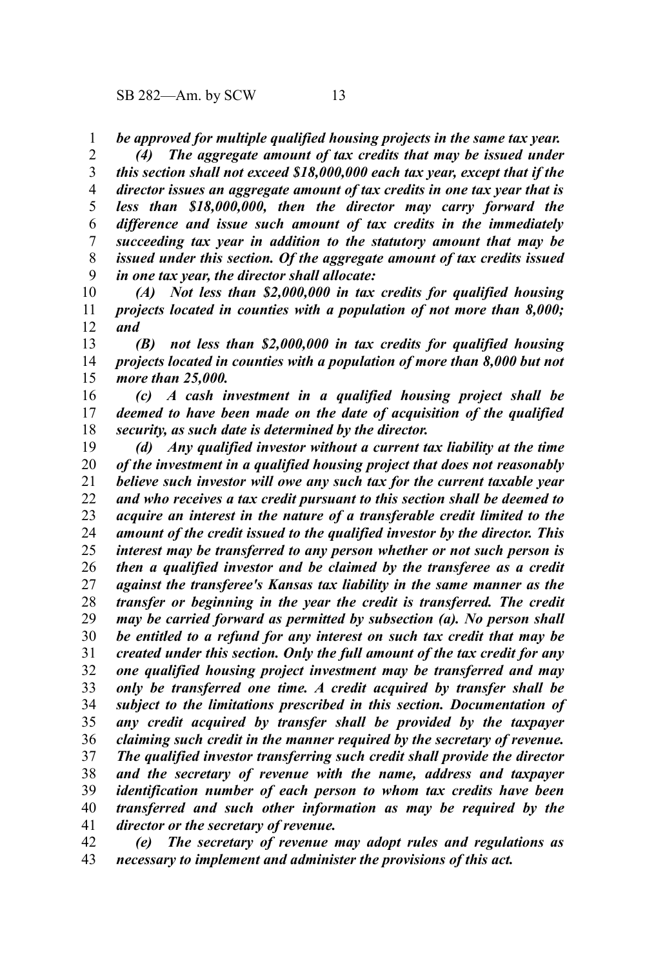*be approved for multiple qualified housing projects in the same tax year.* 1

*(4) The aggregate amount of tax credits that may be issued under this section shall not exceed \$18,000,000 each tax year, except that if the director issues an aggregate amount of tax credits in one tax year that is less than \$18,000,000, then the director may carry forward the difference and issue such amount of tax credits in the immediately succeeding tax year in addition to the statutory amount that may be issued under this section. Of the aggregate amount of tax credits issued in one tax year, the director shall allocate:* 2 3 4 5 6 7 8 9

*(A) Not less than \$2,000,000 in tax credits for qualified housing projects located in counties with a population of not more than 8,000; and* 10 11 12

*(B) not less than \$2,000,000 in tax credits for qualified housing projects located in counties with a population of more than 8,000 but not more than 25,000.* 13 14 15

*(c) A cash investment in a qualified housing project shall be deemed to have been made on the date of acquisition of the qualified security, as such date is determined by the director.* 16 17 18

*(d) Any qualified investor without a current tax liability at the time of the investment in a qualified housing project that does not reasonably believe such investor will owe any such tax for the current taxable year and who receives a tax credit pursuant to this section shall be deemed to acquire an interest in the nature of a transferable credit limited to the amount of the credit issued to the qualified investor by the director. This interest may be transferred to any person whether or not such person is then a qualified investor and be claimed by the transferee as a credit against the transferee's Kansas tax liability in the same manner as the transfer or beginning in the year the credit is transferred. The credit may be carried forward as permitted by subsection (a). No person shall be entitled to a refund for any interest on such tax credit that may be created under this section. Only the full amount of the tax credit for any one qualified housing project investment may be transferred and may only be transferred one time. A credit acquired by transfer shall be subject to the limitations prescribed in this section. Documentation of any credit acquired by transfer shall be provided by the taxpayer claiming such credit in the manner required by the secretary of revenue. The qualified investor transferring such credit shall provide the director and the secretary of revenue with the name, address and taxpayer identification number of each person to whom tax credits have been transferred and such other information as may be required by the director or the secretary of revenue.* 19 20 21 22 23 24 25 26 27 28 29 30 31 32 33 34 35 36 37 38 39 40 41

*(e) The secretary of revenue may adopt rules and regulations as necessary to implement and administer the provisions of this act.* 42 43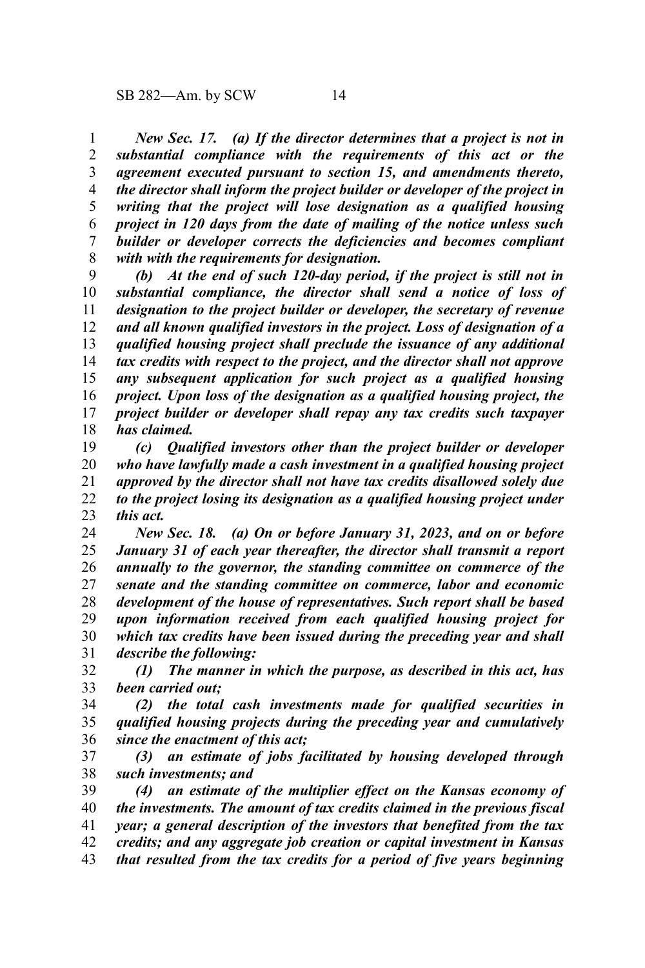*New Sec. 17. (a) If the director determines that a project is not in substantial compliance with the requirements of this act or the agreement executed pursuant to section 15, and amendments thereto, the director shall inform the project builder or developer of the project in writing that the project will lose designation as a qualified housing project in 120 days from the date of mailing of the notice unless such builder or developer corrects the deficiencies and becomes compliant with with the requirements for designation.* 1 2 3 4 5 6 7 8

*(b) At the end of such 120-day period, if the project is still not in substantial compliance, the director shall send a notice of loss of designation to the project builder or developer, the secretary of revenue and all known qualified investors in the project. Loss of designation of a qualified housing project shall preclude the issuance of any additional tax credits with respect to the project, and the director shall not approve any subsequent application for such project as a qualified housing project. Upon loss of the designation as a qualified housing project, the project builder or developer shall repay any tax credits such taxpayer has claimed.* 9 10 11 12 13 14 15 16 17 18

*(c) Qualified investors other than the project builder or developer who have lawfully made a cash investment in a qualified housing project approved by the director shall not have tax credits disallowed solely due to the project losing its designation as a qualified housing project under this act.* 19 20 21 22 23

*New Sec. 18. (a) On or before January 31, 2023, and on or before January 31 of each year thereafter, the director shall transmit a report annually to the governor, the standing committee on commerce of the senate and the standing committee on commerce, labor and economic development of the house of representatives. Such report shall be based upon information received from each qualified housing project for which tax credits have been issued during the preceding year and shall describe the following:* 24 25 26 27 28 29 30 31

*(1) The manner in which the purpose, as described in this act, has been carried out;* 32 33

*(2) the total cash investments made for qualified securities in qualified housing projects during the preceding year and cumulatively since the enactment of this act;* 34 35 36

*(3) an estimate of jobs facilitated by housing developed through such investments; and* 37 38

*(4) an estimate of the multiplier effect on the Kansas economy of the investments. The amount of tax credits claimed in the previous fiscal year; a general description of the investors that benefited from the tax credits; and any aggregate job creation or capital investment in Kansas that resulted from the tax credits for a period of five years beginning* 39 40 41 42 43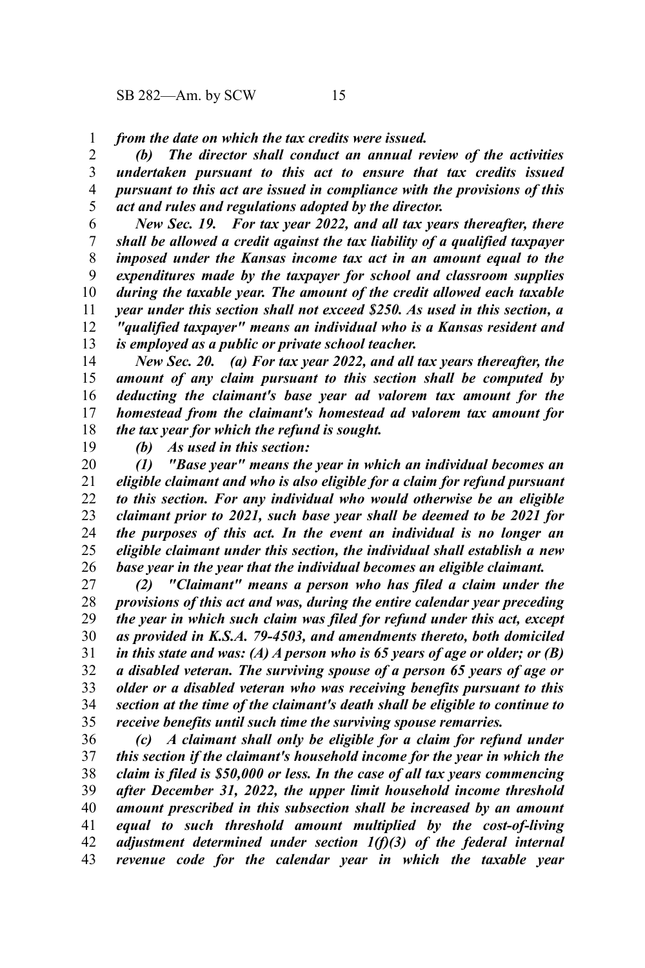*from the date on which the tax credits were issued.* 1

*(b) The director shall conduct an annual review of the activities undertaken pursuant to this act to ensure that tax credits issued pursuant to this act are issued in compliance with the provisions of this act and rules and regulations adopted by the director.* 2 3 4 5

*New Sec. 19. For tax year 2022, and all tax years thereafter, there shall be allowed a credit against the tax liability of a qualified taxpayer imposed under the Kansas income tax act in an amount equal to the expenditures made by the taxpayer for school and classroom supplies during the taxable year. The amount of the credit allowed each taxable year under this section shall not exceed \$250. As used in this section, a "qualified taxpayer" means an individual who is a Kansas resident and is employed as a public or private school teacher.* 6 7 8 9 10 11 12 13

*New Sec. 20. (a) For tax year 2022, and all tax years thereafter, the amount of any claim pursuant to this section shall be computed by deducting the claimant's base year ad valorem tax amount for the homestead from the claimant's homestead ad valorem tax amount for the tax year for which the refund is sought.* 14 15 16 17 18

19

*(b) As used in this section:*

*(1) "Base year" means the year in which an individual becomes an eligible claimant and who is also eligible for a claim for refund pursuant to this section. For any individual who would otherwise be an eligible claimant prior to 2021, such base year shall be deemed to be 2021 for the purposes of this act. In the event an individual is no longer an eligible claimant under this section, the individual shall establish a new base year in the year that the individual becomes an eligible claimant.* 20 21 22 23 24 25 26

*(2) "Claimant" means a person who has filed a claim under the provisions of this act and was, during the entire calendar year preceding the year in which such claim was filed for refund under this act, except as provided in K.S.A. 79-4503, and amendments thereto, both domiciled in this state and was: (A) A person who is 65 years of age or older; or (B) a disabled veteran. The surviving spouse of a person 65 years of age or older or a disabled veteran who was receiving benefits pursuant to this section at the time of the claimant's death shall be eligible to continue to receive benefits until such time the surviving spouse remarries.* 27 28 29 30 31 32 33 34 35

*(c) A claimant shall only be eligible for a claim for refund under this section if the claimant's household income for the year in which the claim is filed is \$50,000 or less. In the case of all tax years commencing after December 31, 2022, the upper limit household income threshold amount prescribed in this subsection shall be increased by an amount equal to such threshold amount multiplied by the cost-of-living adjustment determined under section 1(f)(3) of the federal internal revenue code for the calendar year in which the taxable year* 36 37 38 39 40 41 42 43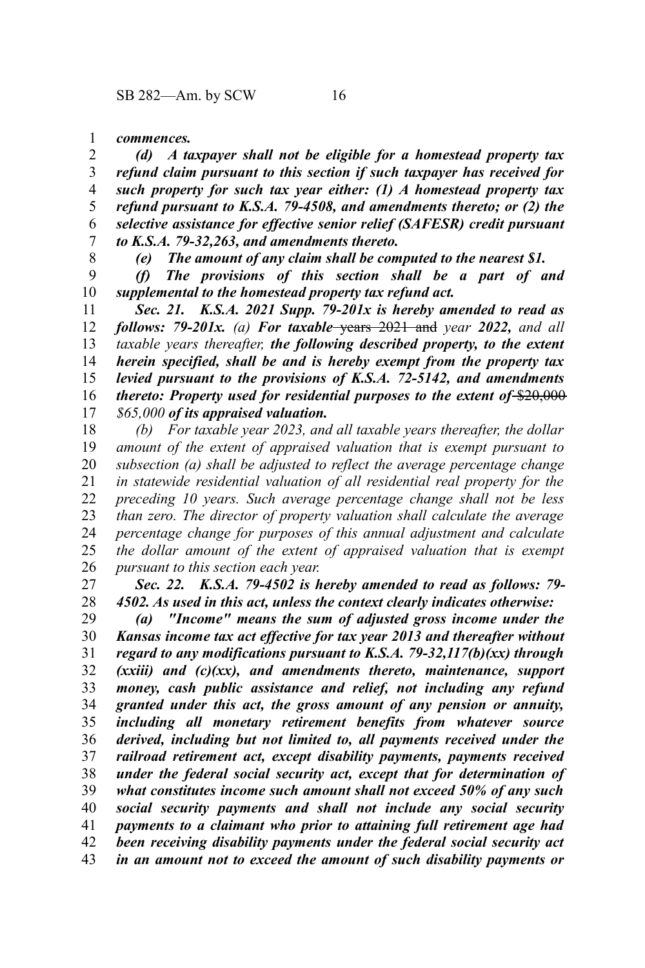*commences.* 1

*(d) A taxpayer shall not be eligible for a homestead property tax refund claim pursuant to this section if such taxpayer has received for such property for such tax year either: (1) A homestead property tax refund pursuant to K.S.A. 79-4508, and amendments thereto; or (2) the selective assistance for effective senior relief (SAFESR) credit pursuant to K.S.A. 79-32,263, and amendments thereto.* 2 3 4 5 6 7

8

*(e) The amount of any claim shall be computed to the nearest \$1.*

*(f) The provisions of this section shall be a part of and supplemental to the homestead property tax refund act.* 9 10

*Sec. 21. K.S.A. 2021 Supp. 79-201x is hereby amended to read as follows: 79-201x. (a) For taxable* years 2021 and *year 2022, and all taxable years thereafter, the following described property, to the extent herein specified, shall be and is hereby exempt from the property tax levied pursuant to the provisions of K.S.A. 72-5142, and amendments thereto: Property used for residential purposes to the extent of* \$20,000 *\$65,000 of its appraised valuation.* 11 12 13 14 15 16 17

*(b) For taxable year 2023, and all taxable years thereafter, the dollar amount of the extent of appraised valuation that is exempt pursuant to subsection (a) shall be adjusted to reflect the average percentage change in statewide residential valuation of all residential real property for the preceding 10 years. Such average percentage change shall not be less than zero. The director of property valuation shall calculate the average percentage change for purposes of this annual adjustment and calculate the dollar amount of the extent of appraised valuation that is exempt pursuant to this section each year.* 18 19 20 21 22 23 24 25 26

*Sec. 22. K.S.A. 79-4502 is hereby amended to read as follows: 79- 4502. As used in this act, unless the context clearly indicates otherwise:* 27 28

*(a) "Income" means the sum of adjusted gross income under the Kansas income tax act effective for tax year 2013 and thereafter without regard to any modifications pursuant to K.S.A. 79-32,117(b)(xx) through (xxiii) and (c)(xx), and amendments thereto, maintenance, support money, cash public assistance and relief, not including any refund granted under this act, the gross amount of any pension or annuity, including all monetary retirement benefits from whatever source derived, including but not limited to, all payments received under the railroad retirement act, except disability payments, payments received under the federal social security act, except that for determination of what constitutes income such amount shall not exceed 50% of any such social security payments and shall not include any social security payments to a claimant who prior to attaining full retirement age had been receiving disability payments under the federal social security act in an amount not to exceed the amount of such disability payments or* 29 30 31 32 33 34 35 36 37 38 39 40 41 42 43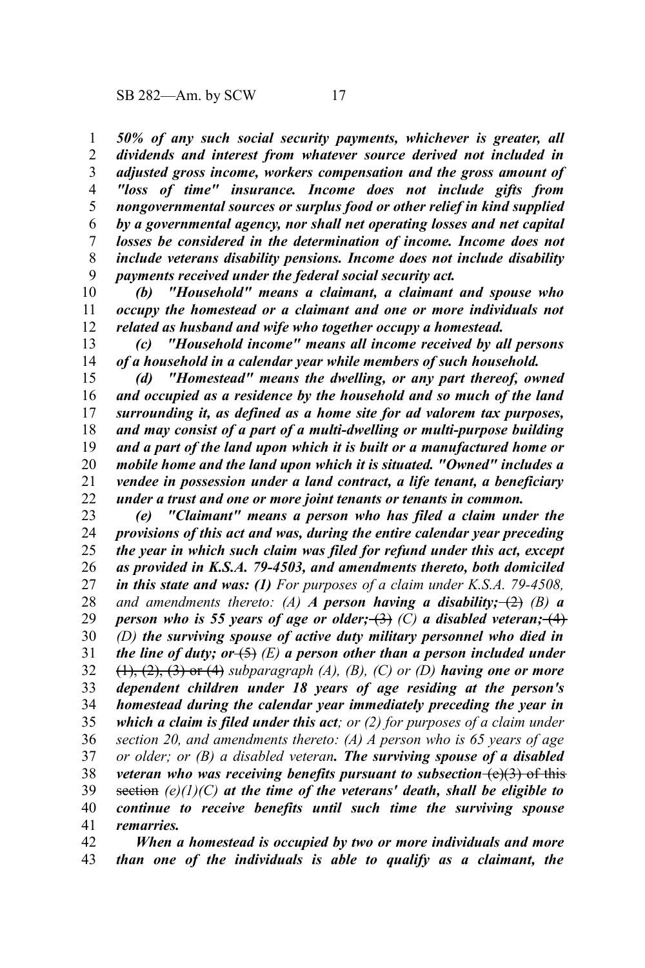*50% of any such social security payments, whichever is greater, all dividends and interest from whatever source derived not included in adjusted gross income, workers compensation and the gross amount of "loss of time" insurance. Income does not include gifts from nongovernmental sources or surplus food or other relief in kind supplied by a governmental agency, nor shall net operating losses and net capital losses be considered in the determination of income. Income does not include veterans disability pensions. Income does not include disability payments received under the federal social security act.* 1 2 3 4 5 6 7 8 9

*(b) "Household" means a claimant, a claimant and spouse who occupy the homestead or a claimant and one or more individuals not related as husband and wife who together occupy a homestead.* 10 11 12

*(c) "Household income" means all income received by all persons of a household in a calendar year while members of such household.* 13 14

*(d) "Homestead" means the dwelling, or any part thereof, owned and occupied as a residence by the household and so much of the land surrounding it, as defined as a home site for ad valorem tax purposes, and may consist of a part of a multi-dwelling or multi-purpose building and a part of the land upon which it is built or a manufactured home or mobile home and the land upon which it is situated. "Owned" includes a vendee in possession under a land contract, a life tenant, a beneficiary under a trust and one or more joint tenants or tenants in common.* 15 16 17 18 19 20 21 22

*(e) "Claimant" means a person who has filed a claim under the provisions of this act and was, during the entire calendar year preceding the year in which such claim was filed for refund under this act, except as provided in K.S.A. 79-4503, and amendments thereto, both domiciled in this state and was: (1) For purposes of a claim under K.S.A. 79-4508, and amendments thereto: (A) A person having a disability;* (2) *(B) a person who is 55 years of age or older;*  $\rightarrow$  *(C) a disabled veteran;*  $\rightarrow$   $\rightarrow$ *(D) the surviving spouse of active duty military personnel who died in the line of duty; or*  $(5)$  *(E)* a person other than a person included under (1), (2), (3) or (4) *subparagraph (A), (B), (C) or (D) having one or more dependent children under 18 years of age residing at the person's homestead during the calendar year immediately preceding the year in which a claim is filed under this act; or (2) for purposes of a claim under section 20, and amendments thereto: (A) A person who is 65 years of age or older; or (B) a disabled veteran. The surviving spouse of a disabled veteran who was receiving benefits pursuant to subsection*  $(e)(3)$  of this section *(e)(1)(C) at the time of the veterans' death, shall be eligible to continue to receive benefits until such time the surviving spouse remarries.* 23 24 25 26 27 28 29 30 31 32 33 34 35 36 37 38 39 40 41

*When a homestead is occupied by two or more individuals and more than one of the individuals is able to qualify as a claimant, the* 42 43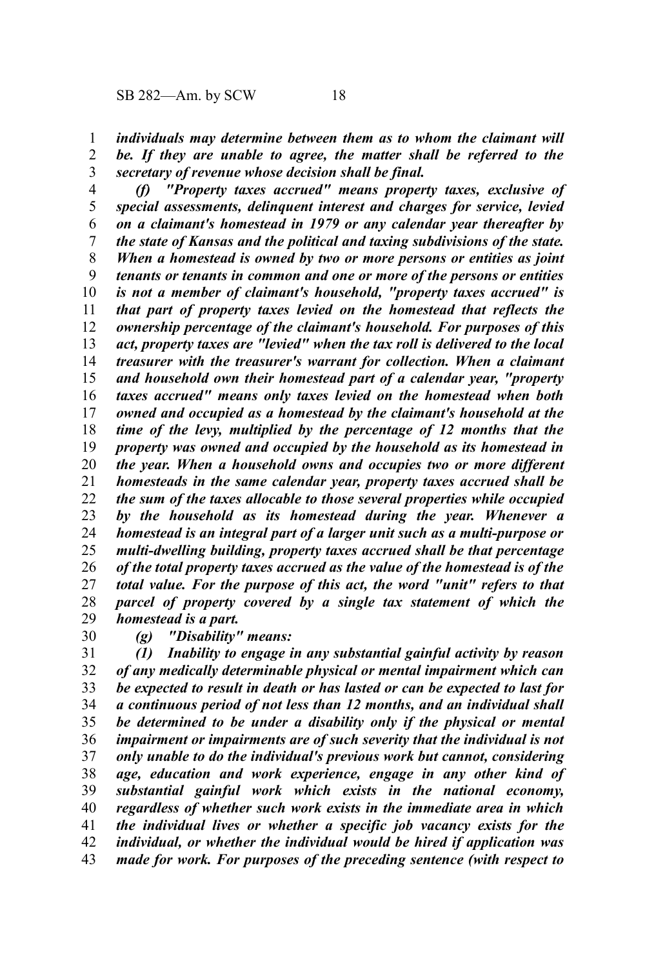*individuals may determine between them as to whom the claimant will be. If they are unable to agree, the matter shall be referred to the secretary of revenue whose decision shall be final.* 1 2 3

*(f) "Property taxes accrued" means property taxes, exclusive of special assessments, delinquent interest and charges for service, levied on a claimant's homestead in 1979 or any calendar year thereafter by the state of Kansas and the political and taxing subdivisions of the state. When a homestead is owned by two or more persons or entities as joint tenants or tenants in common and one or more of the persons or entities is not a member of claimant's household, "property taxes accrued" is that part of property taxes levied on the homestead that reflects the ownership percentage of the claimant's household. For purposes of this act, property taxes are "levied" when the tax roll is delivered to the local treasurer with the treasurer's warrant for collection. When a claimant and household own their homestead part of a calendar year, "property taxes accrued" means only taxes levied on the homestead when both owned and occupied as a homestead by the claimant's household at the time of the levy, multiplied by the percentage of 12 months that the property was owned and occupied by the household as its homestead in the year. When a household owns and occupies two or more different homesteads in the same calendar year, property taxes accrued shall be the sum of the taxes allocable to those several properties while occupied by the household as its homestead during the year. Whenever a homestead is an integral part of a larger unit such as a multi-purpose or multi-dwelling building, property taxes accrued shall be that percentage of the total property taxes accrued as the value of the homestead is of the total value. For the purpose of this act, the word "unit" refers to that parcel of property covered by a single tax statement of which the homestead is a part.* 4 5 6 7 8 9 10 11 12 13 14 15 16 17 18 19 20 21 22 23 24 25 26 27 28 29

- 30
- *(g) "Disability" means:*

*(1) Inability to engage in any substantial gainful activity by reason of any medically determinable physical or mental impairment which can be expected to result in death or has lasted or can be expected to last for a continuous period of not less than 12 months, and an individual shall be determined to be under a disability only if the physical or mental impairment or impairments are of such severity that the individual is not only unable to do the individual's previous work but cannot, considering age, education and work experience, engage in any other kind of substantial gainful work which exists in the national economy, regardless of whether such work exists in the immediate area in which the individual lives or whether a specific job vacancy exists for the individual, or whether the individual would be hired if application was made for work. For purposes of the preceding sentence (with respect to* 31 32 33 34 35 36 37 38 39 40 41 42 43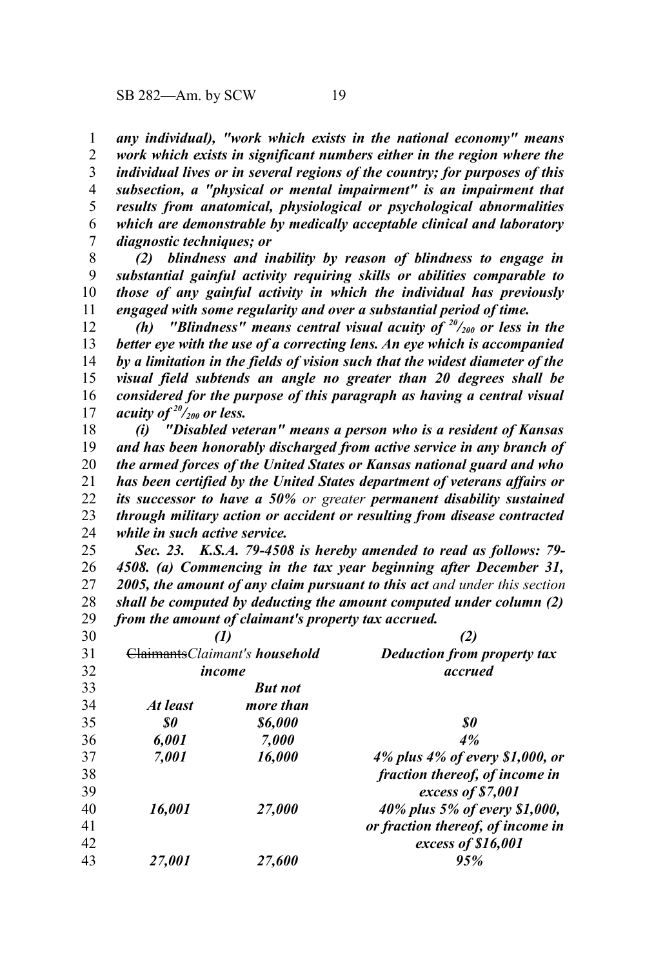1 2 3

 $\overline{2}$ 

*subsection, a "physical or mental impairment" is an impairment that results from anatomical, physiological or psychological abnormalities which are demonstrable by medically acceptable clinical and laboratory diagnostic techniques; or* 4 5 6 7

*(2) blindness and inability by reason of blindness to engage in substantial gainful activity requiring skills or abilities comparable to those of any gainful activity in which the individual has previously engaged with some regularity and over a substantial period of time.* 8 9 10 11

*(h) "Blindness" means central visual acuity of <sup>20</sup>/200 or less in the better eye with the use of a correcting lens. An eye which is accompanied by a limitation in the fields of vision such that the widest diameter of the visual field subtends an angle no greater than 20 degrees shall be considered for the purpose of this paragraph as having a central visual acuity of <sup>20</sup>/200 or less.* 12 13 14 15 16 17

*(i) "Disabled veteran" means a person who is a resident of Kansas and has been honorably discharged from active service in any branch of the armed forces of the United States or Kansas national guard and who has been certified by the United States department of veterans affairs or its successor to have a 50% or greater permanent disability sustained through military action or accident or resulting from disease contracted while in such active service.* 18 19 20 21 22 23 24

*Sec. 23. K.S.A. 79-4508 is hereby amended to read as follows: 79- 4508. (a) Commencing in the tax year beginning after December 31, 2005, the amount of any claim pursuant to this act and under this section shall be computed by deducting the amount computed under column (2) from the amount of claimant's property tax accrued.* 25 26 27 28 29

| 30 | ClaimantsClaimant's household<br>income |                       | Deduction from property tax<br>accrued |
|----|-----------------------------------------|-----------------------|----------------------------------------|
| 31 |                                         |                       |                                        |
| 32 |                                         |                       |                                        |
| 33 |                                         | <b>But not</b>        |                                        |
| 34 | At least                                | more than             |                                        |
| 35 | S0                                      | <i><b>\$6,000</b></i> | S0                                     |
| 36 | 6.001                                   | 7.000                 | 4%                                     |
| 37 | 7.001                                   | 16,000                | 4% plus 4% of every \$1,000, or        |
| 38 |                                         |                       | fraction thereof, of income in         |
| 39 |                                         |                       | excess of \$7,001                      |
| 40 | 16.001                                  | 27.000                | 40% plus 5% of every \$1,000,          |
| 41 |                                         |                       | or fraction thereof, of income in      |
| 42 |                                         |                       | excess of \$16,001                     |
| 43 | <i><b>27.001</b></i>                    | 27.600                | 95%                                    |
|    |                                         |                       |                                        |